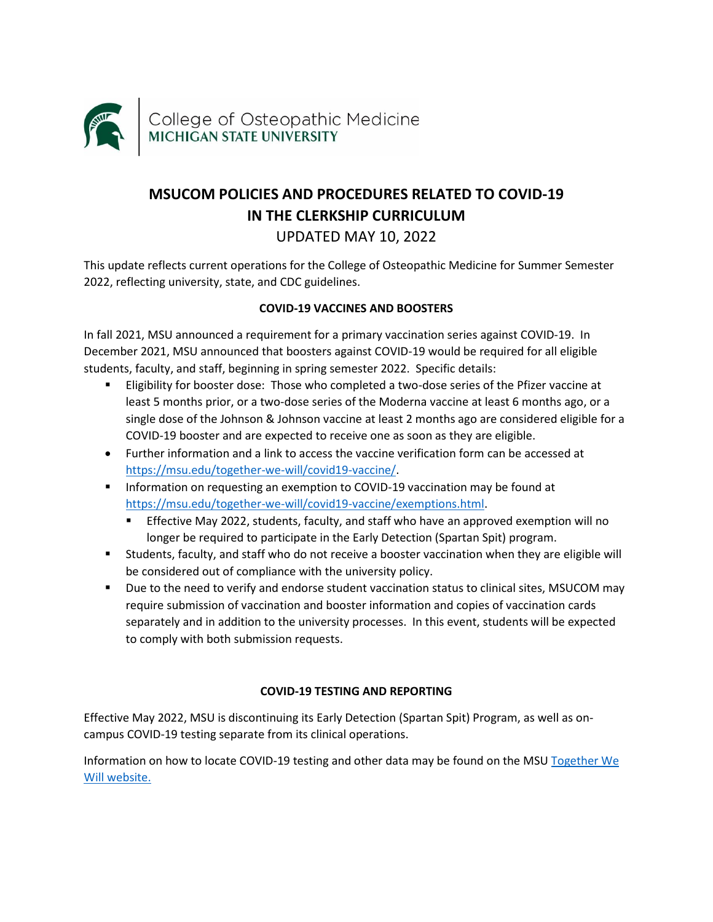

# **MSUCOM POLICIES AND PROCEDURES RELATED TO COVID-19 IN THE CLERKSHIP CURRICULUM**  UPDATED MAY 10, 2022

This update reflects current operations for the College of Osteopathic Medicine for Summer Semester 2022, reflecting university, state, and CDC guidelines.

# **COVID-19 VACCINES AND BOOSTERS**

In fall 2021, MSU announced a requirement for a primary vaccination series against COVID-19. In December 2021, MSU announced that boosters against COVID-19 would be required for all eligible students, faculty, and staff, beginning in spring semester 2022. Specific details:

- Eligibility for booster dose: Those who completed a two-dose series of the Pfizer vaccine at least 5 months prior, or a two-dose series of the Moderna vaccine at least 6 months ago, or a single dose of the Johnson & Johnson vaccine at least 2 months ago are considered eligible for a COVID-19 booster and are expected to receive one as soon as they are eligible.
- Further information and a link to access the vaccine verification form can be accessed at [https://msu.edu/together-we-will/covid19-vaccine/.](https://msu.edu/together-we-will/covid19-vaccine/)
- **■** Information on requesting an exemption to COVID-19 vaccination may be found at [https://msu.edu/together-we-will/covid19-vaccine/exemptions.html.](https://msu.edu/together-we-will/covid19-vaccine/exemptions.html)
	- **Effective May 2022, students, faculty, and staff who have an approved exemption will no** longer be required to participate in the Early Detection (Spartan Spit) program.
- Students, faculty, and staff who do not receive a booster vaccination when they are eligible will be considered out of compliance with the university policy.
- Due to the need to verify and endorse student vaccination status to clinical sites, MSUCOM may require submission of vaccination and booster information and copies of vaccination cards separately and in addition to the university processes. In this event, students will be expected to comply with both submission requests.

# **COVID-19 TESTING AND REPORTING**

Effective May 2022, MSU is discontinuing its Early Detection (Spartan Spit) Program, as well as oncampus COVID-19 testing separate from its clinical operations.

Information on how to locate COVID-19 testing and other data may be found on the MS[U Together We](https://msu.edu/together-we-will/)  [Will website.](https://msu.edu/together-we-will/)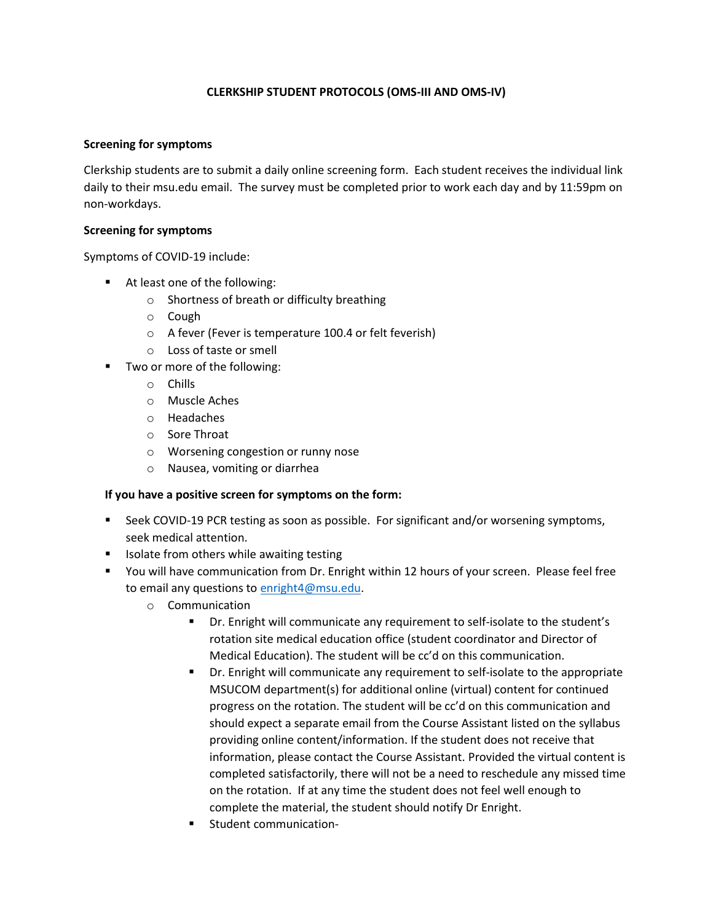### **CLERKSHIP STUDENT PROTOCOLS (OMS-III AND OMS-IV)**

#### **Screening for symptoms**

Clerkship students are to submit a daily online screening form. Each student receives the individual link daily to their msu.edu email. The survey must be completed prior to work each day and by 11:59pm on non-workdays.

#### **Screening for symptoms**

Symptoms of COVID-19 include:

- At least one of the following:
	- o Shortness of breath or difficulty breathing
	- o Cough
	- o A fever (Fever is temperature 100.4 or felt feverish)
	- o Loss of taste or smell
- Two or more of the following:
	- o Chills
	- o Muscle Aches
	- o Headaches
	- o Sore Throat
	- o Worsening congestion or runny nose
	- o Nausea, vomiting or diarrhea

#### **If you have a positive screen for symptoms on the form:**

- Seek COVID-19 PCR testing as soon as possible. For significant and/or worsening symptoms, seek medical attention.
- Isolate from others while awaiting testing
- You will have communication from Dr. Enright within 12 hours of your screen. Please feel free to email any questions to [enright4@msu.edu.](mailto:enright4@msu.edu)
	- o Communication
		- Dr. Enright will communicate any requirement to self-isolate to the student's rotation site medical education office (student coordinator and Director of Medical Education). The student will be cc'd on this communication.
		- **•** Dr. Enright will communicate any requirement to self-isolate to the appropriate MSUCOM department(s) for additional online (virtual) content for continued progress on the rotation. The student will be cc'd on this communication and should expect a separate email from the Course Assistant listed on the syllabus providing online content/information. If the student does not receive that information, please contact the Course Assistant. Provided the virtual content is completed satisfactorily, there will not be a need to reschedule any missed time on the rotation. If at any time the student does not feel well enough to complete the material, the student should notify Dr Enright.
		- Student communication-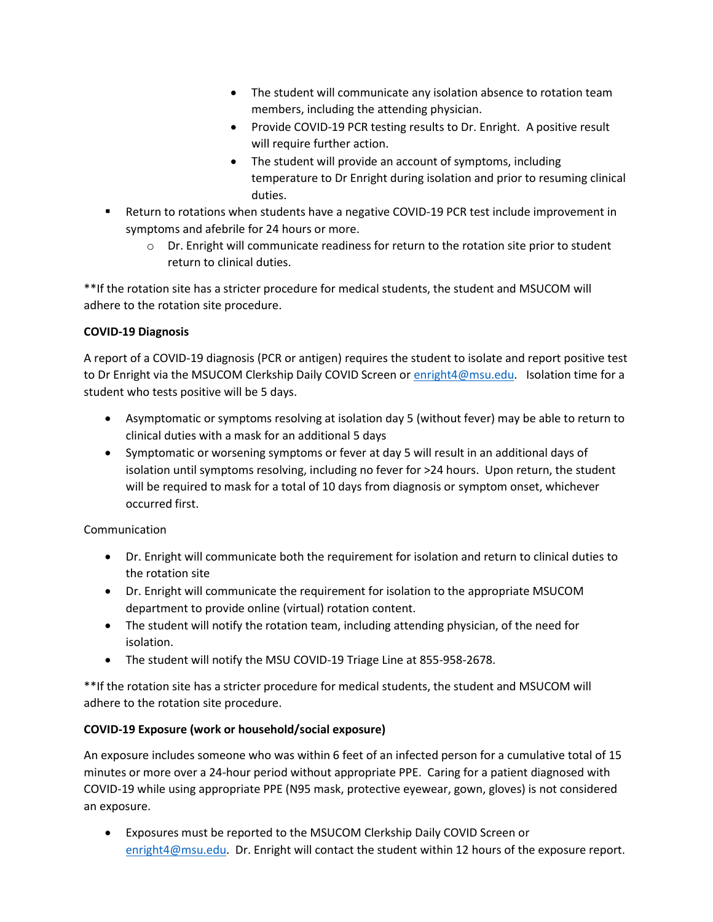- The student will communicate any isolation absence to rotation team members, including the attending physician.
- Provide COVID-19 PCR testing results to Dr. Enright. A positive result will require further action.
- The student will provide an account of symptoms, including temperature to Dr Enright during isolation and prior to resuming clinical duties.
- Return to rotations when students have a negative COVID-19 PCR test include improvement in symptoms and afebrile for 24 hours or more.
	- $\circ$  Dr. Enright will communicate readiness for return to the rotation site prior to student return to clinical duties.

\*\*If the rotation site has a stricter procedure for medical students, the student and MSUCOM will adhere to the rotation site procedure.

# **COVID-19 Diagnosis**

A report of a COVID-19 diagnosis (PCR or antigen) requires the student to isolate and report positive test to Dr Enright via the MSUCOM Clerkship Daily COVID Screen or [enright4@msu.edu.](mailto:enright4@msu.edu) Isolation time for a student who tests positive will be 5 days.

- Asymptomatic or symptoms resolving at isolation day 5 (without fever) may be able to return to clinical duties with a mask for an additional 5 days
- Symptomatic or worsening symptoms or fever at day 5 will result in an additional days of isolation until symptoms resolving, including no fever for >24 hours. Upon return, the student will be required to mask for a total of 10 days from diagnosis or symptom onset, whichever occurred first.

# Communication

- Dr. Enright will communicate both the requirement for isolation and return to clinical duties to the rotation site
- Dr. Enright will communicate the requirement for isolation to the appropriate MSUCOM department to provide online (virtual) rotation content.
- The student will notify the rotation team, including attending physician, of the need for isolation.
- The student will notify the MSU COVID-19 Triage Line at 855-958-2678.

\*\*If the rotation site has a stricter procedure for medical students, the student and MSUCOM will adhere to the rotation site procedure.

# **COVID-19 Exposure (work or household/social exposure)**

An exposure includes someone who was within 6 feet of an infected person for a cumulative total of 15 minutes or more over a 24-hour period without appropriate PPE. Caring for a patient diagnosed with COVID-19 while using appropriate PPE (N95 mask, protective eyewear, gown, gloves) is not considered an exposure.

• Exposures must be reported to the MSUCOM Clerkship Daily COVID Screen or [enright4@msu.edu.](mailto:enright4@msu.edu) Dr. Enright will contact the student within 12 hours of the exposure report.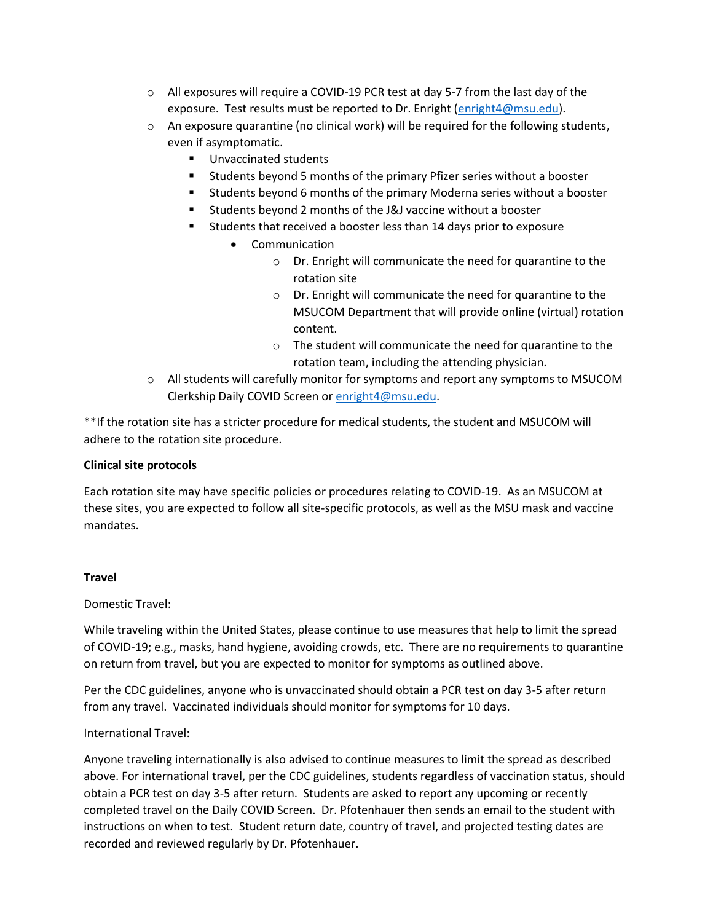- o All exposures will require a COVID-19 PCR test at day 5-7 from the last day of the exposure. Test results must be reported to Dr. Enright [\(enright4@msu.edu\)](mailto:enright4@msu.edu).
- $\circ$  An exposure quarantine (no clinical work) will be required for the following students, even if asymptomatic.
	- Unvaccinated students
	- Students beyond 5 months of the primary Pfizer series without a booster
	- Students beyond 6 months of the primary Moderna series without a booster
	- Students beyond 2 months of the J&J vaccine without a booster
	- Students that received a booster less than 14 days prior to exposure
		- Communication
			- o Dr. Enright will communicate the need for quarantine to the rotation site
			- o Dr. Enright will communicate the need for quarantine to the MSUCOM Department that will provide online (virtual) rotation content.
			- o The student will communicate the need for quarantine to the rotation team, including the attending physician.
- o All students will carefully monitor for symptoms and report any symptoms to MSUCOM Clerkship Daily COVID Screen o[r enright4@msu.edu.](mailto:enright4@msu.edu)

\*\*If the rotation site has a stricter procedure for medical students, the student and MSUCOM will adhere to the rotation site procedure.

#### **Clinical site protocols**

Each rotation site may have specific policies or procedures relating to COVID-19. As an MSUCOM at these sites, you are expected to follow all site-specific protocols, as well as the MSU mask and vaccine mandates.

#### **Travel**

Domestic Travel:

While traveling within the United States, please continue to use measures that help to limit the spread of COVID-19; e.g., masks, hand hygiene, avoiding crowds, etc. There are no requirements to quarantine on return from travel, but you are expected to monitor for symptoms as outlined above.

Per the CDC guidelines, anyone who is unvaccinated should obtain a PCR test on day 3-5 after return from any travel. Vaccinated individuals should monitor for symptoms for 10 days.

#### International Travel:

Anyone traveling internationally is also advised to continue measures to limit the spread as described above. For international travel, per the CDC guidelines, students regardless of vaccination status, should obtain a PCR test on day 3-5 after return. Students are asked to report any upcoming or recently completed travel on the Daily COVID Screen. Dr. Pfotenhauer then sends an email to the student with instructions on when to test. Student return date, country of travel, and projected testing dates are recorded and reviewed regularly by Dr. Pfotenhauer.